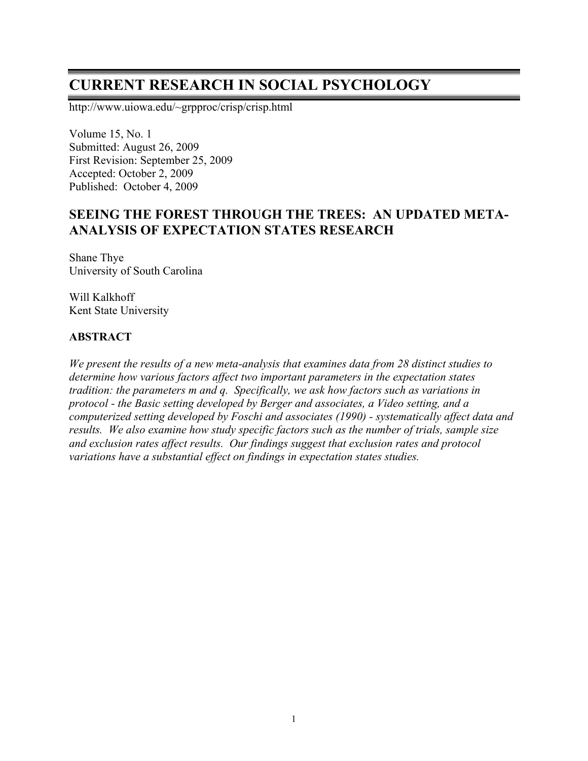# **CURRENT RESEARCH IN SOCIAL PSYCHOLOGY**

http://www.uiowa.edu/~grpproc/crisp/crisp.html

Volume 15, No. 1 Submitted: August 26, 2009 First Revision: September 25, 2009 Accepted: October 2, 2009 Published: October 4, 2009

# **SEEING THE FOREST THROUGH THE TREES: AN UPDATED META-ANALYSIS OF EXPECTATION STATES RESEARCH**

Shane Thye University of South Carolina

Will Kalkhoff Kent State University

#### **ABSTRACT**

*We present the results of a new meta-analysis that examines data from 28 distinct studies to determine how various factors affect two important parameters in the expectation states tradition: the parameters m and q. Specifically, we ask how factors such as variations in protocol - the Basic setting developed by Berger and associates, a Video setting, and a computerized setting developed by Foschi and associates (1990) - systematically affect data and results. We also examine how study specific factors such as the number of trials, sample size and exclusion rates affect results. Our findings suggest that exclusion rates and protocol variations have a substantial effect on findings in expectation states studies.*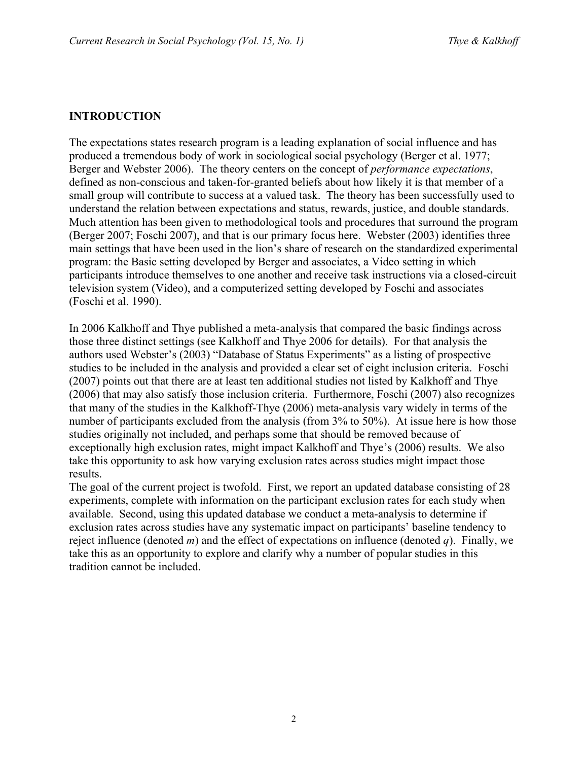## **INTRODUCTION**

The expectations states research program is a leading explanation of social influence and has produced a tremendous body of work in sociological social psychology (Berger et al. 1977; Berger and Webster 2006). The theory centers on the concept of *performance expectations*, defined as non-conscious and taken-for-granted beliefs about how likely it is that member of a small group will contribute to success at a valued task. The theory has been successfully used to understand the relation between expectations and status, rewards, justice, and double standards. Much attention has been given to methodological tools and procedures that surround the program (Berger 2007; Foschi 2007), and that is our primary focus here. Webster (2003) identifies three main settings that have been used in the lion's share of research on the standardized experimental program: the Basic setting developed by Berger and associates, a Video setting in which participants introduce themselves to one another and receive task instructions via a closed-circuit television system (Video), and a computerized setting developed by Foschi and associates (Foschi et al. 1990).

In 2006 Kalkhoff and Thye published a meta-analysis that compared the basic findings across those three distinct settings (see Kalkhoff and Thye 2006 for details). For that analysis the authors used Webster's (2003) "Database of Status Experiments" as a listing of prospective studies to be included in the analysis and provided a clear set of eight inclusion criteria. Foschi (2007) points out that there are at least ten additional studies not listed by Kalkhoff and Thye (2006) that may also satisfy those inclusion criteria. Furthermore, Foschi (2007) also recognizes that many of the studies in the Kalkhoff-Thye (2006) meta-analysis vary widely in terms of the number of participants excluded from the analysis (from 3% to 50%). At issue here is how those studies originally not included, and perhaps some that should be removed because of exceptionally high exclusion rates, might impact Kalkhoff and Thye's (2006) results. We also take this opportunity to ask how varying exclusion rates across studies might impact those results.

The goal of the current project is twofold. First, we report an updated database consisting of 28 experiments, complete with information on the participant exclusion rates for each study when available. Second, using this updated database we conduct a meta-analysis to determine if exclusion rates across studies have any systematic impact on participants' baseline tendency to reject influence (denoted *m*) and the effect of expectations on influence (denoted *q*). Finally, we take this as an opportunity to explore and clarify why a number of popular studies in this tradition cannot be included.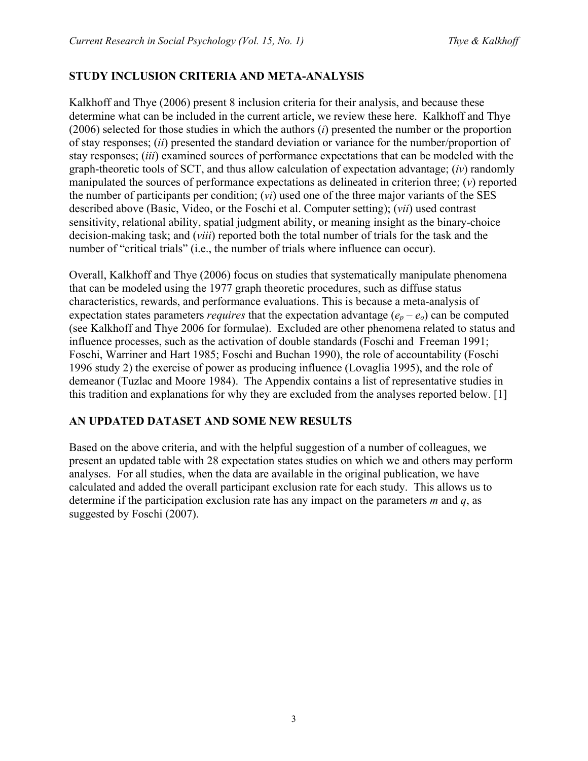#### **STUDY INCLUSION CRITERIA AND META-ANALYSIS**

Kalkhoff and Thye (2006) present 8 inclusion criteria for their analysis, and because these determine what can be included in the current article, we review these here. Kalkhoff and Thye (2006) selected for those studies in which the authors (*i*) presented the number or the proportion of stay responses; (*ii*) presented the standard deviation or variance for the number/proportion of stay responses; (*iii*) examined sources of performance expectations that can be modeled with the graph-theoretic tools of SCT, and thus allow calculation of expectation advantage; (*iv*) randomly manipulated the sources of performance expectations as delineated in criterion three; (*v*) reported the number of participants per condition; (*vi*) used one of the three major variants of the SES described above (Basic, Video, or the Foschi et al. Computer setting); (*vii*) used contrast sensitivity, relational ability, spatial judgment ability, or meaning insight as the binary-choice decision-making task; and (*viii*) reported both the total number of trials for the task and the number of "critical trials" (i.e., the number of trials where influence can occur).

Overall, Kalkhoff and Thye (2006) focus on studies that systematically manipulate phenomena that can be modeled using the 1977 graph theoretic procedures, such as diffuse status characteristics, rewards, and performance evaluations. This is because a meta-analysis of expectation states parameters *requires* that the expectation advantage  $(e_p - e_o)$  can be computed (see Kalkhoff and Thye 2006 for formulae). Excluded are other phenomena related to status and influence processes, such as the activation of double standards (Foschi and Freeman 1991; Foschi, Warriner and Hart 1985; Foschi and Buchan 1990), the role of accountability (Foschi 1996 study 2) the exercise of power as producing influence (Lovaglia 1995), and the role of demeanor (Tuzlac and Moore 1984). The Appendix contains a list of representative studies in this tradition and explanations for why they are excluded from the analyses reported below. [1]

#### **AN UPDATED DATASET AND SOME NEW RESULTS**

Based on the above criteria, and with the helpful suggestion of a number of colleagues, we present an updated table with 28 expectation states studies on which we and others may perform analyses. For all studies, when the data are available in the original publication, we have calculated and added the overall participant exclusion rate for each study. This allows us to determine if the participation exclusion rate has any impact on the parameters *m* and *q*, as suggested by Foschi (2007).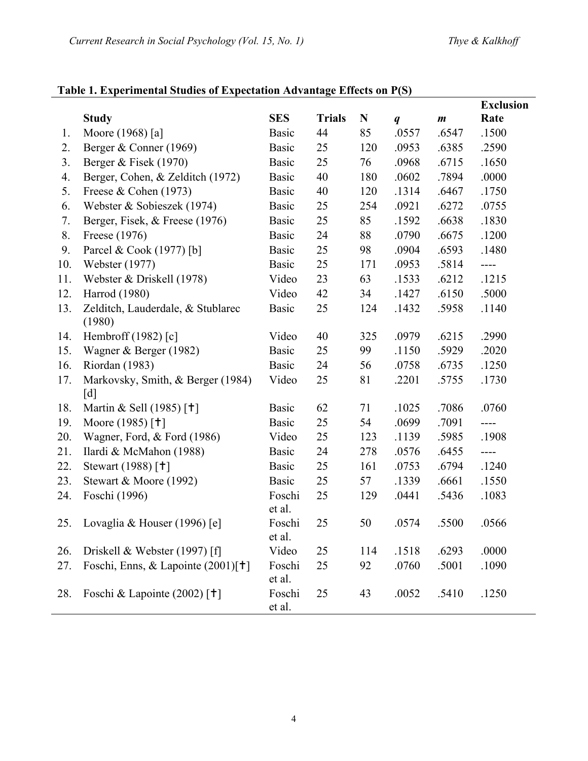# **Table 1. Experimental Studies of Expectation Advantage Effects on P(S)**

|     |                                                        |                  |               |     |                  |                  | <b>Exclusion</b> |
|-----|--------------------------------------------------------|------------------|---------------|-----|------------------|------------------|------------------|
|     | <b>Study</b>                                           | <b>SES</b>       | <b>Trials</b> | N   | $\boldsymbol{q}$ | $\boldsymbol{m}$ | Rate             |
| 1.  | Moore (1968) [a]                                       | <b>Basic</b>     | 44            | 85  | .0557            | .6547            | .1500            |
| 2.  | Berger & Conner (1969)                                 | <b>Basic</b>     | 25            | 120 | .0953            | .6385            | .2590            |
| 3.  | Berger & Fisek (1970)                                  | <b>Basic</b>     | 25            | 76  | .0968            | .6715            | .1650            |
| 4.  | Berger, Cohen, & Zelditch (1972)                       | <b>Basic</b>     | 40            | 180 | .0602            | .7894            | .0000            |
| 5.  | Freese & Cohen $(1973)$                                | <b>Basic</b>     | 40            | 120 | .1314            | .6467            | .1750            |
| 6.  | Webster & Sobieszek (1974)                             | <b>Basic</b>     | 25            | 254 | .0921            | .6272            | .0755            |
| 7.  | Berger, Fisek, & Freese (1976)                         | <b>Basic</b>     | 25            | 85  | .1592            | .6638            | .1830            |
| 8.  | Freese (1976)                                          | <b>Basic</b>     | 24            | 88  | .0790            | .6675            | .1200            |
| 9.  | Parcel & Cook (1977) [b]                               | <b>Basic</b>     | 25            | 98  | .0904            | .6593            | .1480            |
| 10. | Webster (1977)                                         | <b>Basic</b>     | 25            | 171 | .0953            | .5814            | $---$            |
| 11. | Webster & Driskell (1978)                              | Video            | 23            | 63  | .1533            | .6212            | .1215            |
| 12. | Harrod (1980)                                          | Video            | 42            | 34  | .1427            | .6150            | .5000            |
| 13. | Zelditch, Lauderdale, & Stublarec<br>(1980)            | <b>Basic</b>     | 25            | 124 | .1432            | .5958            | .1140            |
| 14. | Hembroff (1982) [c]                                    | Video            | 40            | 325 | .0979            | .6215            | .2990            |
| 15. | Wagner & Berger (1982)                                 | <b>Basic</b>     | 25            | 99  | .1150            | .5929            | .2020            |
| 16. | Riordan (1983)                                         | <b>Basic</b>     | 24            | 56  | .0758            | .6735            | .1250            |
| 17. | Markovsky, Smith, & Berger (1984)<br>$\lceil d \rceil$ | Video            | 25            | 81  | .2201            | .5755            | .1730            |
| 18. | Martin & Sell (1985) [ <sup>†</sup> ]                  | <b>Basic</b>     | 62            | 71  | .1025            | .7086            | .0760            |
| 19. | Moore (1985) [ <sup>†</sup> ]                          | <b>Basic</b>     | 25            | 54  | .0699            | .7091            | $---$            |
| 20. | Wagner, Ford, & Ford (1986)                            | Video            | 25            | 123 | .1139            | .5985            | .1908            |
| 21. | Ilardi & McMahon (1988)                                | <b>Basic</b>     | 24            | 278 | .0576            | .6455            | ----             |
| 22. | Stewart (1988) [ <sup>†</sup> ]                        | <b>Basic</b>     | 25            | 161 | .0753            | .6794            | .1240            |
| 23. | Stewart & Moore (1992)                                 | <b>Basic</b>     | 25            | 57  | .1339            | .6661            | .1550            |
| 24. | Foschi (1996)                                          | Foschi<br>et al. | 25            | 129 | .0441            | .5436            | .1083            |
| 25. | Lovaglia & Houser (1996) [e]                           | Foschi<br>et al. | 25            | 50  | .0574            | .5500            | .0566            |
| 26. | Driskell & Webster $(1997)$ [f]                        | Video            | 25            | 114 | .1518            | .6293            | .0000            |
| 27. | Foschi, Enns, & Lapointe (2001)[ <sup>†</sup> ]        | Foschi<br>et al. | 25            | 92  | .0760            | .5001            | .1090            |
| 28. | Foschi & Lapointe (2002) [ <sup>†</sup> ]              | Foschi<br>et al. | 25            | 43  | .0052            | .5410            | .1250            |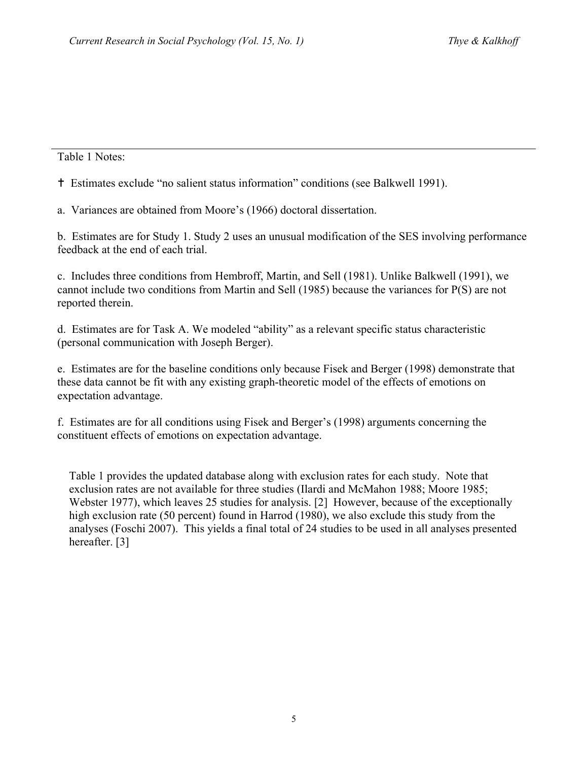#### Table 1 Notes:

Estimates exclude "no salient status information" conditions (see Balkwell 1991).

a. Variances are obtained from Moore's (1966) doctoral dissertation.

b. Estimates are for Study 1. Study 2 uses an unusual modification of the SES involving performance feedback at the end of each trial.

c. Includes three conditions from Hembroff, Martin, and Sell (1981). Unlike Balkwell (1991), we cannot include two conditions from Martin and Sell (1985) because the variances for P(S) are not reported therein.

d. Estimates are for Task A. We modeled "ability" as a relevant specific status characteristic (personal communication with Joseph Berger).

e. Estimates are for the baseline conditions only because Fisek and Berger (1998) demonstrate that these data cannot be fit with any existing graph-theoretic model of the effects of emotions on expectation advantage.

f. Estimates are for all conditions using Fisek and Berger's (1998) arguments concerning the constituent effects of emotions on expectation advantage.

Table 1 provides the updated database along with exclusion rates for each study. Note that exclusion rates are not available for three studies (Ilardi and McMahon 1988; Moore 1985; Webster 1977), which leaves 25 studies for analysis. [2] However, because of the exceptionally high exclusion rate (50 percent) found in Harrod (1980), we also exclude this study from the analyses (Foschi 2007). This yields a final total of 24 studies to be used in all analyses presented hereafter. [3]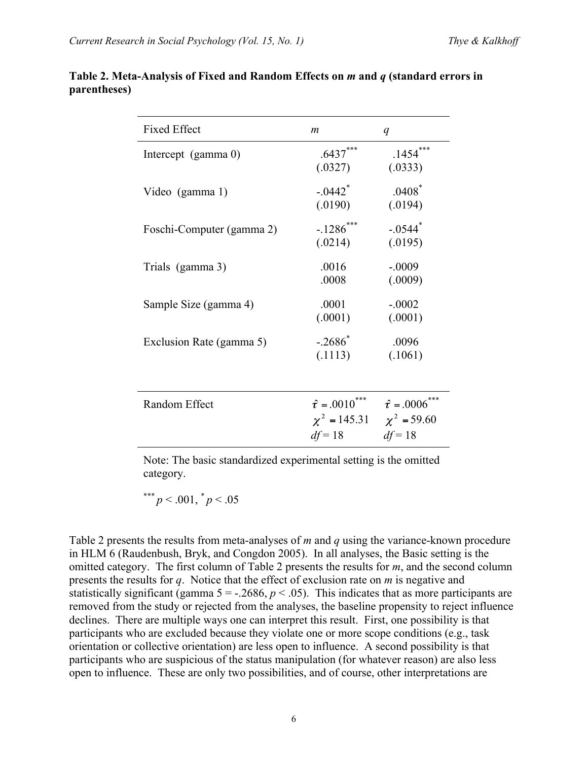| <b>Fixed Effect</b>       | $\boldsymbol{m}$                                                                   | q                                     |
|---------------------------|------------------------------------------------------------------------------------|---------------------------------------|
| Intercept (gamma 0)       | $.6437***$<br>(.0327)                                                              | $.1454***$<br>(.0333)                 |
| Video (gamma 1)           | $-.0442$ <sup>*</sup><br>(.0190)                                                   | $.0408$ <sup>*</sup><br>(.0194)       |
| Foschi-Computer (gamma 2) | $-.1286$ ***<br>(.0214)                                                            | $-0.544$ <sup>*</sup><br>(.0195)      |
| Trials (gamma 3)          | .0016<br>.0008                                                                     | $-.0009$<br>(.0009)                   |
| Sample Size (gamma 4)     | .0001<br>(.0001)                                                                   | $-.0002$<br>(.0001)                   |
| Exclusion Rate (gamma 5)  | $-.2686*$<br>(.1113)                                                               | .0096<br>(.1061)                      |
| Random Effect             | $\hat{\tau} = .0010^{***}$<br>$\chi^2 = 145.31 \qquad \chi^2 = 59.60$<br>$df = 18$ | $\hat{\tau} = .0006$ ***<br>$df = 18$ |

#### **Table 2. Meta-Analysis of Fixed and Random Effects on** *m* **and** *q* **(standard errors in parentheses)**

Note: The basic standardized experimental setting is the omitted category.

\*\*\*  $p < .001,$   $^* p < .05$ 

Table 2 presents the results from meta-analyses of *m* and *q* using the variance-known procedure in HLM 6 (Raudenbush, Bryk, and Congdon 2005). In all analyses, the Basic setting is the omitted category. The first column of Table 2 presents the results for *m*, and the second column presents the results for *q*. Notice that the effect of exclusion rate on *m* is negative and statistically significant (gamma  $5 = -0.2686$ ,  $p < 0.05$ ). This indicates that as more participants are removed from the study or rejected from the analyses, the baseline propensity to reject influence declines. There are multiple ways one can interpret this result. First, one possibility is that participants who are excluded because they violate one or more scope conditions (e.g., task orientation or collective orientation) are less open to influence. A second possibility is that participants who are suspicious of the status manipulation (for whatever reason) are also less open to influence. These are only two possibilities, and of course, other interpretations are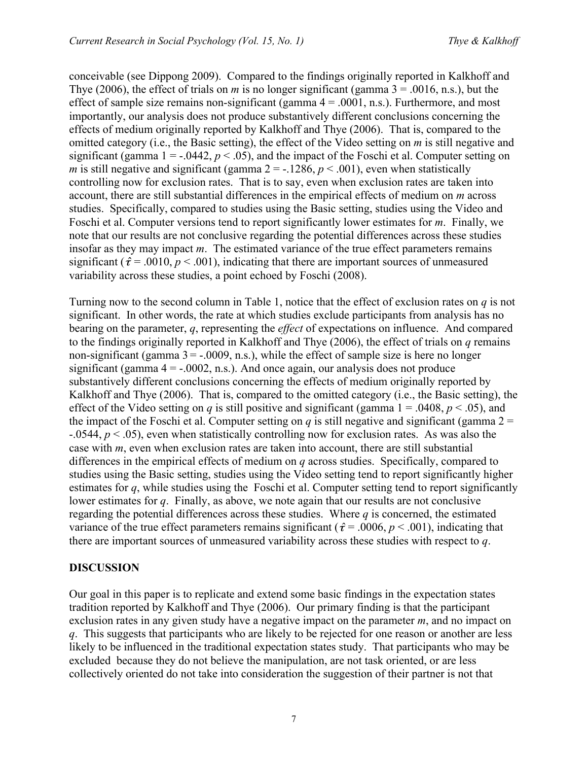conceivable (see Dippong 2009). Compared to the findings originally reported in Kalkhoff and Thye (2006), the effect of trials on *m* is no longer significant (gamma  $3 = .0016$ , n.s.), but the effect of sample size remains non-significant (gamma  $4 = .0001$ , n.s.). Furthermore, and most importantly, our analysis does not produce substantively different conclusions concerning the effects of medium originally reported by Kalkhoff and Thye (2006). That is, compared to the omitted category (i.e., the Basic setting), the effect of the Video setting on *m* is still negative and significant (gamma  $1 = -0.0442$ ,  $p < 0.05$ ), and the impact of the Foschi et al. Computer setting on *m* is still negative and significant (gamma  $2 = -0.1286$ ,  $p < 0.001$ ), even when statistically controlling now for exclusion rates. That is to say, even when exclusion rates are taken into account, there are still substantial differences in the empirical effects of medium on *m* across studies. Specifically, compared to studies using the Basic setting, studies using the Video and Foschi et al. Computer versions tend to report significantly lower estimates for *m*. Finally, we note that our results are not conclusive regarding the potential differences across these studies insofar as they may impact *m*. The estimated variance of the true effect parameters remains significant ( $\hat{\tau}$  = .0010,  $p$  < .001), indicating that there are important sources of unmeasured variability across these studies, a point echoed by Foschi (2008).

Turning now to the second column in Table 1, notice that the effect of exclusion rates on *q* is not significant. In other words, the rate at which studies exclude participants from analysis has no bearing on the parameter, *q*, representing the *effect* of expectations on influence. And compared to the findings originally reported in Kalkhoff and Thye (2006), the effect of trials on *q* remains non-significant (gamma  $3 = -0.0009$ , n.s.), while the effect of sample size is here no longer significant (gamma  $4 = -0.0002$ , n.s.). And once again, our analysis does not produce substantively different conclusions concerning the effects of medium originally reported by Kalkhoff and Thye (2006). That is, compared to the omitted category (i.e., the Basic setting), the effect of the Video setting on *q* is still positive and significant (gamma  $1 = .0408$ ,  $p < .05$ ), and the impact of the Foschi et al. Computer setting on *q* is still negative and significant (gamma  $2 =$ -.0544, *p* < .05), even when statistically controlling now for exclusion rates. As was also the case with *m*, even when exclusion rates are taken into account, there are still substantial differences in the empirical effects of medium on *q* across studies. Specifically, compared to studies using the Basic setting, studies using the Video setting tend to report significantly higher estimates for *q*, while studies using the Foschi et al. Computer setting tend to report significantly lower estimates for *q*. Finally, as above, we note again that our results are not conclusive regarding the potential differences across these studies. Where *q* is concerned, the estimated variance of the true effect parameters remains significant ( $\hat{\tau}$  = .0006, *p* < .001), indicating that there are important sources of unmeasured variability across these studies with respect to *q*.

#### **DISCUSSION**

Our goal in this paper is to replicate and extend some basic findings in the expectation states tradition reported by Kalkhoff and Thye (2006). Our primary finding is that the participant exclusion rates in any given study have a negative impact on the parameter *m*, and no impact on *q*. This suggests that participants who are likely to be rejected for one reason or another are less likely to be influenced in the traditional expectation states study. That participants who may be excluded because they do not believe the manipulation, are not task oriented, or are less collectively oriented do not take into consideration the suggestion of their partner is not that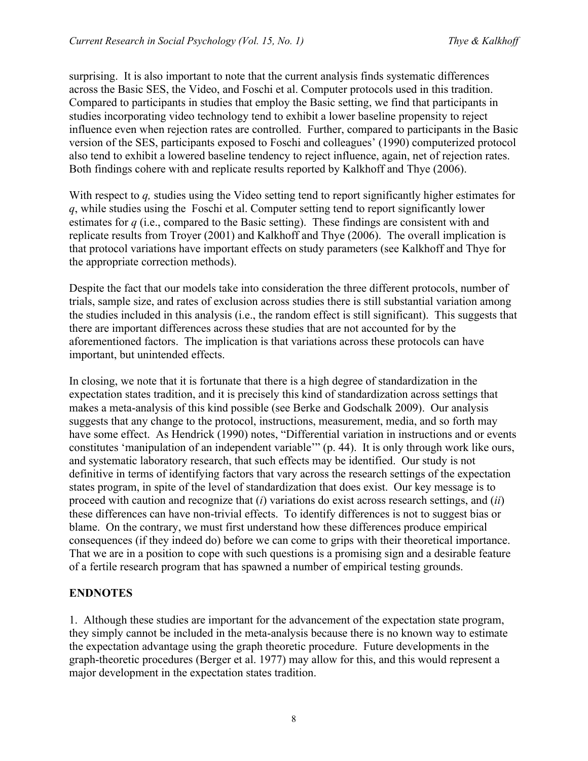surprising. It is also important to note that the current analysis finds systematic differences across the Basic SES, the Video, and Foschi et al. Computer protocols used in this tradition. Compared to participants in studies that employ the Basic setting, we find that participants in studies incorporating video technology tend to exhibit a lower baseline propensity to reject influence even when rejection rates are controlled. Further, compared to participants in the Basic version of the SES, participants exposed to Foschi and colleagues' (1990) computerized protocol also tend to exhibit a lowered baseline tendency to reject influence, again, net of rejection rates. Both findings cohere with and replicate results reported by Kalkhoff and Thye (2006).

With respect to *q,* studies using the Video setting tend to report significantly higher estimates for *q*, while studies using the Foschi et al. Computer setting tend to report significantly lower estimates for *q* (i.e., compared to the Basic setting). These findings are consistent with and replicate results from Troyer (2001) and Kalkhoff and Thye (2006). The overall implication is that protocol variations have important effects on study parameters (see Kalkhoff and Thye for the appropriate correction methods).

Despite the fact that our models take into consideration the three different protocols, number of trials, sample size, and rates of exclusion across studies there is still substantial variation among the studies included in this analysis (i.e., the random effect is still significant). This suggests that there are important differences across these studies that are not accounted for by the aforementioned factors. The implication is that variations across these protocols can have important, but unintended effects.

In closing, we note that it is fortunate that there is a high degree of standardization in the expectation states tradition, and it is precisely this kind of standardization across settings that makes a meta-analysis of this kind possible (see Berke and Godschalk 2009). Our analysis suggests that any change to the protocol, instructions, measurement, media, and so forth may have some effect. As Hendrick (1990) notes, "Differential variation in instructions and or events constitutes 'manipulation of an independent variable'" (p. 44). It is only through work like ours, and systematic laboratory research, that such effects may be identified. Our study is not definitive in terms of identifying factors that vary across the research settings of the expectation states program, in spite of the level of standardization that does exist. Our key message is to proceed with caution and recognize that (*i*) variations do exist across research settings, and (*ii*) these differences can have non-trivial effects. To identify differences is not to suggest bias or blame. On the contrary, we must first understand how these differences produce empirical consequences (if they indeed do) before we can come to grips with their theoretical importance. That we are in a position to cope with such questions is a promising sign and a desirable feature of a fertile research program that has spawned a number of empirical testing grounds.

#### **ENDNOTES**

1. Although these studies are important for the advancement of the expectation state program, they simply cannot be included in the meta-analysis because there is no known way to estimate the expectation advantage using the graph theoretic procedure. Future developments in the graph-theoretic procedures (Berger et al. 1977) may allow for this, and this would represent a major development in the expectation states tradition.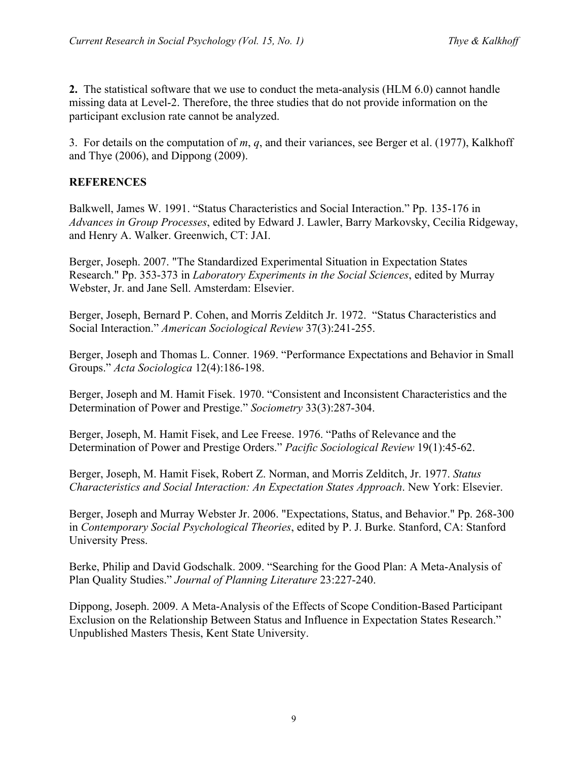**2.** The statistical software that we use to conduct the meta-analysis (HLM 6.0) cannot handle missing data at Level-2. Therefore, the three studies that do not provide information on the participant exclusion rate cannot be analyzed.

3. For details on the computation of *m*, *q*, and their variances, see Berger et al. (1977), Kalkhoff and Thye (2006), and Dippong (2009).

# **REFERENCES**

Balkwell, James W. 1991. "Status Characteristics and Social Interaction." Pp. 135-176 in *Advances in Group Processes*, edited by Edward J. Lawler, Barry Markovsky, Cecilia Ridgeway, and Henry A. Walker. Greenwich, CT: JAI.

Berger, Joseph. 2007. "The Standardized Experimental Situation in Expectation States Research." Pp. 353-373 in *Laboratory Experiments in the Social Sciences*, edited by Murray Webster, Jr. and Jane Sell. Amsterdam: Elsevier.

Berger, Joseph, Bernard P. Cohen, and Morris Zelditch Jr. 1972. "Status Characteristics and Social Interaction." *American Sociological Review* 37(3):241-255.

Berger, Joseph and Thomas L. Conner. 1969. "Performance Expectations and Behavior in Small Groups." *Acta Sociologica* 12(4):186-198.

Berger, Joseph and M. Hamit Fisek. 1970. "Consistent and Inconsistent Characteristics and the Determination of Power and Prestige." *Sociometry* 33(3):287-304.

Berger, Joseph, M. Hamit Fisek, and Lee Freese. 1976. "Paths of Relevance and the Determination of Power and Prestige Orders." *Pacific Sociological Review* 19(1):45-62.

Berger, Joseph, M. Hamit Fisek, Robert Z. Norman, and Morris Zelditch, Jr. 1977. *Status Characteristics and Social Interaction: An Expectation States Approach*. New York: Elsevier.

Berger, Joseph and Murray Webster Jr. 2006. "Expectations, Status, and Behavior." Pp. 268-300 in *Contemporary Social Psychological Theories*, edited by P. J. Burke. Stanford, CA: Stanford University Press.

Berke, Philip and David Godschalk. 2009. "Searching for the Good Plan: A Meta-Analysis of Plan Quality Studies." *Journal of Planning Literature* 23:227-240.

Dippong, Joseph. 2009. A Meta-Analysis of the Effects of Scope Condition-Based Participant Exclusion on the Relationship Between Status and Influence in Expectation States Research." Unpublished Masters Thesis, Kent State University.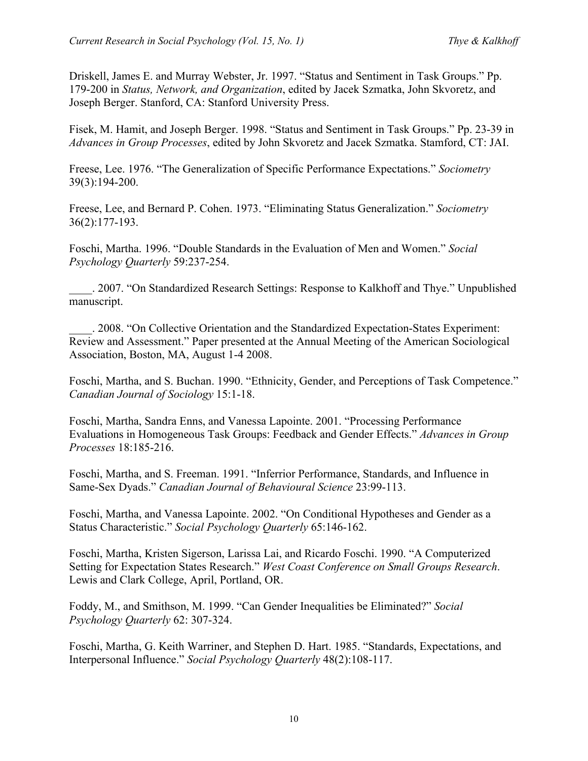Driskell, James E. and Murray Webster, Jr. 1997. "Status and Sentiment in Task Groups." Pp. 179-200 in *Status, Network, and Organization*, edited by Jacek Szmatka, John Skvoretz, and Joseph Berger. Stanford, CA: Stanford University Press.

Fisek, M. Hamit, and Joseph Berger. 1998. "Status and Sentiment in Task Groups." Pp. 23-39 in *Advances in Group Processes*, edited by John Skvoretz and Jacek Szmatka. Stamford, CT: JAI.

Freese, Lee. 1976. "The Generalization of Specific Performance Expectations." *Sociometry* 39(3):194-200.

Freese, Lee, and Bernard P. Cohen. 1973. "Eliminating Status Generalization." *Sociometry* 36(2):177-193.

Foschi, Martha. 1996. "Double Standards in the Evaluation of Men and Women." *Social Psychology Quarterly* 59:237-254.

\_\_\_\_. 2007. "On Standardized Research Settings: Response to Kalkhoff and Thye." Unpublished manuscript.

\_\_\_\_. 2008. "On Collective Orientation and the Standardized Expectation-States Experiment: Review and Assessment." Paper presented at the Annual Meeting of the American Sociological Association, Boston, MA, August 1-4 2008.

Foschi, Martha, and S. Buchan. 1990. "Ethnicity, Gender, and Perceptions of Task Competence." *Canadian Journal of Sociology* 15:1-18.

Foschi, Martha, Sandra Enns, and Vanessa Lapointe. 2001. "Processing Performance Evaluations in Homogeneous Task Groups: Feedback and Gender Effects." *Advances in Group Processes* 18:185-216.

Foschi, Martha, and S. Freeman. 1991. "Inferrior Performance, Standards, and Influence in Same-Sex Dyads." *Canadian Journal of Behavioural Science* 23:99-113.

Foschi, Martha, and Vanessa Lapointe. 2002. "On Conditional Hypotheses and Gender as a Status Characteristic." *Social Psychology Quarterly* 65:146-162.

Foschi, Martha, Kristen Sigerson, Larissa Lai, and Ricardo Foschi. 1990. "A Computerized Setting for Expectation States Research." *West Coast Conference on Small Groups Research*. Lewis and Clark College, April, Portland, OR.

Foddy, M., and Smithson, M. 1999. "Can Gender Inequalities be Eliminated?" *Social Psychology Quarterly* 62: 307-324.

Foschi, Martha, G. Keith Warriner, and Stephen D. Hart. 1985. "Standards, Expectations, and Interpersonal Influence." *Social Psychology Quarterly* 48(2):108-117.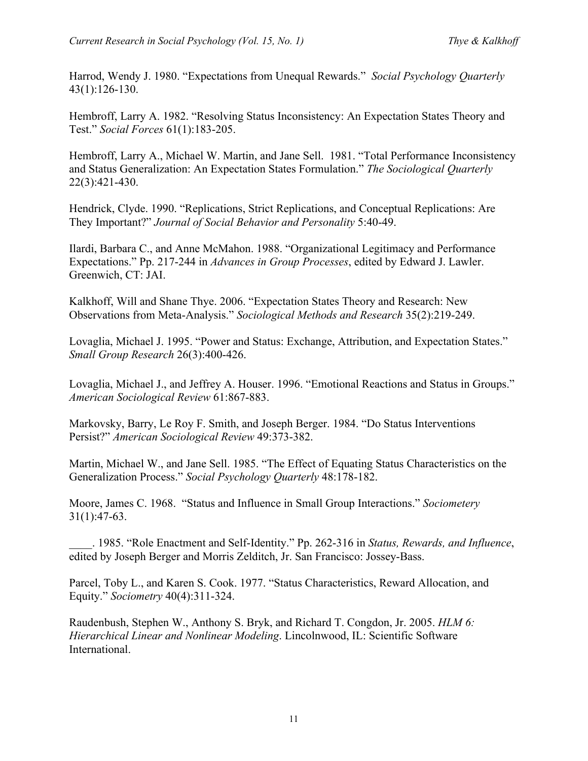Harrod, Wendy J. 1980. "Expectations from Unequal Rewards." *Social Psychology Quarterly* 43(1):126-130.

Hembroff, Larry A. 1982. "Resolving Status Inconsistency: An Expectation States Theory and Test." *Social Forces* 61(1):183-205.

Hembroff, Larry A., Michael W. Martin, and Jane Sell. 1981. "Total Performance Inconsistency and Status Generalization: An Expectation States Formulation." *The Sociological Quarterly* 22(3):421-430.

Hendrick, Clyde. 1990. "Replications, Strict Replications, and Conceptual Replications: Are They Important?" *Journal of Social Behavior and Personality* 5:40-49.

Ilardi, Barbara C., and Anne McMahon. 1988. "Organizational Legitimacy and Performance Expectations." Pp. 217-244 in *Advances in Group Processes*, edited by Edward J. Lawler. Greenwich, CT: JAI.

Kalkhoff, Will and Shane Thye. 2006. "Expectation States Theory and Research: New Observations from Meta-Analysis." *Sociological Methods and Research* 35(2):219-249.

Lovaglia, Michael J. 1995. "Power and Status: Exchange, Attribution, and Expectation States." *Small Group Research* 26(3):400-426.

Lovaglia, Michael J., and Jeffrey A. Houser. 1996. "Emotional Reactions and Status in Groups." *American Sociological Review* 61:867-883.

Markovsky, Barry, Le Roy F. Smith, and Joseph Berger. 1984. "Do Status Interventions Persist?" *American Sociological Review* 49:373-382.

Martin, Michael W., and Jane Sell. 1985. "The Effect of Equating Status Characteristics on the Generalization Process." *Social Psychology Quarterly* 48:178-182.

Moore, James C. 1968. "Status and Influence in Small Group Interactions." *Sociometery* 31(1):47-63.

\_\_\_\_. 1985. "Role Enactment and Self-Identity." Pp. 262-316 in *Status, Rewards, and Influence*, edited by Joseph Berger and Morris Zelditch, Jr. San Francisco: Jossey-Bass.

Parcel, Toby L., and Karen S. Cook. 1977. "Status Characteristics, Reward Allocation, and Equity." *Sociometry* 40(4):311-324.

Raudenbush, Stephen W., Anthony S. Bryk, and Richard T. Congdon, Jr. 2005. *HLM 6: Hierarchical Linear and Nonlinear Modeling*. Lincolnwood, IL: Scientific Software International.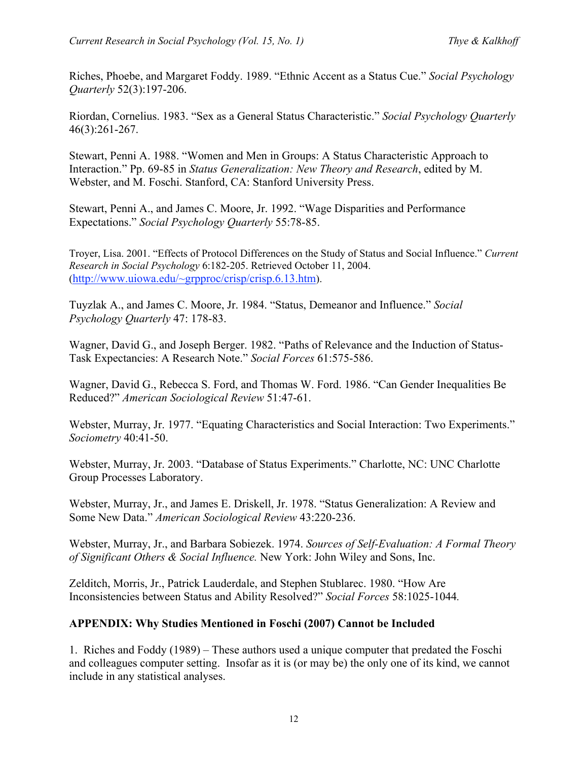Riches, Phoebe, and Margaret Foddy. 1989. "Ethnic Accent as a Status Cue." *Social Psychology Quarterly* 52(3):197-206.

Riordan, Cornelius. 1983. "Sex as a General Status Characteristic." *Social Psychology Quarterly*  46(3):261-267.

Stewart, Penni A. 1988. "Women and Men in Groups: A Status Characteristic Approach to Interaction." Pp. 69-85 in *Status Generalization: New Theory and Research*, edited by M. Webster, and M. Foschi. Stanford, CA: Stanford University Press.

Stewart, Penni A., and James C. Moore, Jr. 1992. "Wage Disparities and Performance Expectations." *Social Psychology Quarterly* 55:78-85.

Troyer, Lisa. 2001. "Effects of Protocol Differences on the Study of Status and Social Influence." *Current Research in Social Psychology* 6:182-205. Retrieved October 11, 2004. (http://www.uiowa.edu/~grpproc/crisp/crisp.6.13.htm).

Tuyzlak A., and James C. Moore, Jr. 1984. "Status, Demeanor and Influence." *Social Psychology Quarterly* 47: 178-83.

Wagner, David G., and Joseph Berger. 1982. "Paths of Relevance and the Induction of Status-Task Expectancies: A Research Note." *Social Forces* 61:575-586.

Wagner, David G., Rebecca S. Ford, and Thomas W. Ford. 1986. "Can Gender Inequalities Be Reduced?" *American Sociological Review* 51:47-61.

Webster, Murray, Jr. 1977. "Equating Characteristics and Social Interaction: Two Experiments." *Sociometry* 40:41-50.

Webster, Murray, Jr. 2003. "Database of Status Experiments." Charlotte, NC: UNC Charlotte Group Processes Laboratory.

Webster, Murray, Jr., and James E. Driskell, Jr. 1978. "Status Generalization: A Review and Some New Data." *American Sociological Review* 43:220-236.

Webster, Murray, Jr., and Barbara Sobiezek. 1974. *Sources of Self-Evaluation: A Formal Theory of Significant Others & Social Influence.* New York: John Wiley and Sons, Inc.

Zelditch, Morris, Jr., Patrick Lauderdale, and Stephen Stublarec. 1980. "How Are Inconsistencies between Status and Ability Resolved?" *Social Forces* 58:1025-1044*.*

# **APPENDIX: Why Studies Mentioned in Foschi (2007) Cannot be Included**

1. Riches and Foddy (1989) – These authors used a unique computer that predated the Foschi and colleagues computer setting. Insofar as it is (or may be) the only one of its kind, we cannot include in any statistical analyses.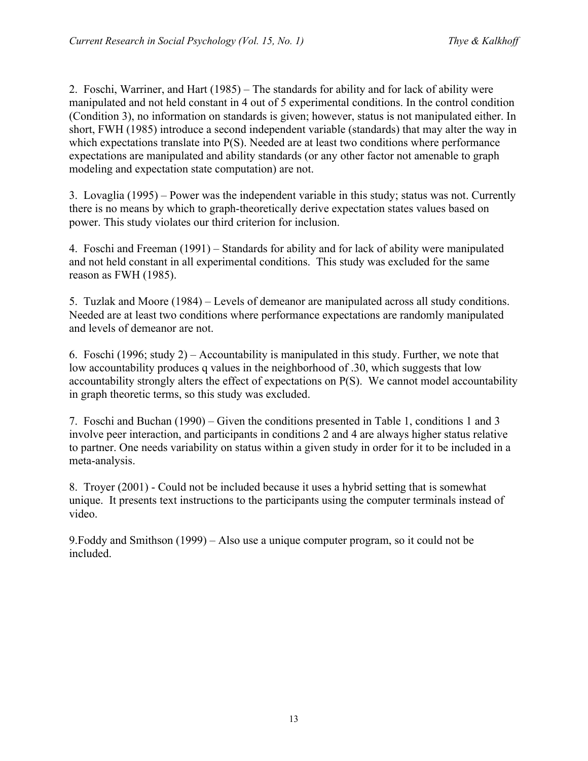2. Foschi, Warriner, and Hart (1985) – The standards for ability and for lack of ability were manipulated and not held constant in 4 out of 5 experimental conditions. In the control condition (Condition 3), no information on standards is given; however, status is not manipulated either. In short, FWH (1985) introduce a second independent variable (standards) that may alter the way in which expectations translate into P(S). Needed are at least two conditions where performance expectations are manipulated and ability standards (or any other factor not amenable to graph modeling and expectation state computation) are not.

3. Lovaglia (1995) – Power was the independent variable in this study; status was not. Currently there is no means by which to graph-theoretically derive expectation states values based on power. This study violates our third criterion for inclusion.

4. Foschi and Freeman (1991) – Standards for ability and for lack of ability were manipulated and not held constant in all experimental conditions. This study was excluded for the same reason as FWH (1985).

5. Tuzlak and Moore (1984) – Levels of demeanor are manipulated across all study conditions. Needed are at least two conditions where performance expectations are randomly manipulated and levels of demeanor are not.

6. Foschi (1996; study 2) – Accountability is manipulated in this study. Further, we note that low accountability produces q values in the neighborhood of .30, which suggests that low accountability strongly alters the effect of expectations on P(S). We cannot model accountability in graph theoretic terms, so this study was excluded.

7. Foschi and Buchan (1990) – Given the conditions presented in Table 1, conditions 1 and 3 involve peer interaction, and participants in conditions 2 and 4 are always higher status relative to partner. One needs variability on status within a given study in order for it to be included in a meta-analysis.

8. Troyer (2001) - Could not be included because it uses a hybrid setting that is somewhat unique. It presents text instructions to the participants using the computer terminals instead of video.

9.Foddy and Smithson (1999) – Also use a unique computer program, so it could not be included.